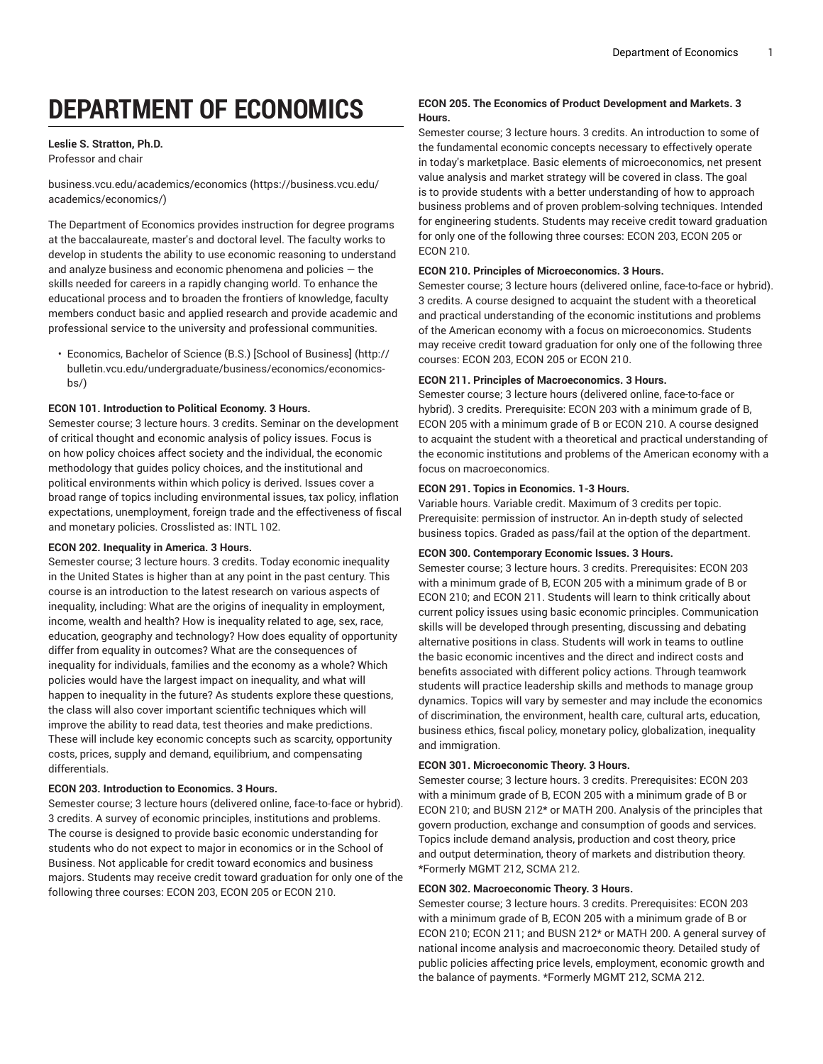# **DEPARTMENT OF ECONOMICS**

# **Leslie S. Stratton, Ph.D.**

Professor and chair

[business.vcu.edu/academics/economics](https://business.vcu.edu/academics/economics/) ([https://business.vcu.edu/](https://business.vcu.edu/academics/economics/) [academics/economics/](https://business.vcu.edu/academics/economics/))

The Department of Economics provides instruction for degree programs at the baccalaureate, master's and doctoral level. The faculty works to develop in students the ability to use economic reasoning to understand and analyze business and economic phenomena and policies  $-$  the skills needed for careers in a rapidly changing world. To enhance the educational process and to broaden the frontiers of knowledge, faculty members conduct basic and applied research and provide academic and professional service to the university and professional communities.

• [Economics,](http://bulletin.vcu.edu/undergraduate/business/economics/economics-bs/) Bachelor of Science (B.S.) [School of Business] ([http://](http://bulletin.vcu.edu/undergraduate/business/economics/economics-bs/) [bulletin.vcu.edu/undergraduate/business/economics/economics](http://bulletin.vcu.edu/undergraduate/business/economics/economics-bs/)[bs/](http://bulletin.vcu.edu/undergraduate/business/economics/economics-bs/))

## **ECON 101. Introduction to Political Economy. 3 Hours.**

Semester course; 3 lecture hours. 3 credits. Seminar on the development of critical thought and economic analysis of policy issues. Focus is on how policy choices affect society and the individual, the economic methodology that guides policy choices, and the institutional and political environments within which policy is derived. Issues cover a broad range of topics including environmental issues, tax policy, inflation expectations, unemployment, foreign trade and the effectiveness of fiscal and monetary policies. Crosslisted as: INTL 102.

## **ECON 202. Inequality in America. 3 Hours.**

Semester course; 3 lecture hours. 3 credits. Today economic inequality in the United States is higher than at any point in the past century. This course is an introduction to the latest research on various aspects of inequality, including: What are the origins of inequality in employment, income, wealth and health? How is inequality related to age, sex, race, education, geography and technology? How does equality of opportunity differ from equality in outcomes? What are the consequences of inequality for individuals, families and the economy as a whole? Which policies would have the largest impact on inequality, and what will happen to inequality in the future? As students explore these questions, the class will also cover important scientific techniques which will improve the ability to read data, test theories and make predictions. These will include key economic concepts such as scarcity, opportunity costs, prices, supply and demand, equilibrium, and compensating differentials.

# **ECON 203. Introduction to Economics. 3 Hours.**

Semester course; 3 lecture hours (delivered online, face-to-face or hybrid). 3 credits. A survey of economic principles, institutions and problems. The course is designed to provide basic economic understanding for students who do not expect to major in economics or in the School of Business. Not applicable for credit toward economics and business majors. Students may receive credit toward graduation for only one of the following three courses: ECON 203, ECON 205 or ECON 210.

# **ECON 205. The Economics of Product Development and Markets. 3 Hours.**

Semester course; 3 lecture hours. 3 credits. An introduction to some of the fundamental economic concepts necessary to effectively operate in today's marketplace. Basic elements of microeconomics, net present value analysis and market strategy will be covered in class. The goal is to provide students with a better understanding of how to approach business problems and of proven problem-solving techniques. Intended for engineering students. Students may receive credit toward graduation for only one of the following three courses: ECON 203, ECON 205 or ECON 210.

## **ECON 210. Principles of Microeconomics. 3 Hours.**

Semester course; 3 lecture hours (delivered online, face-to-face or hybrid). 3 credits. A course designed to acquaint the student with a theoretical and practical understanding of the economic institutions and problems of the American economy with a focus on microeconomics. Students may receive credit toward graduation for only one of the following three courses: ECON 203, ECON 205 or ECON 210.

## **ECON 211. Principles of Macroeconomics. 3 Hours.**

Semester course; 3 lecture hours (delivered online, face-to-face or hybrid). 3 credits. Prerequisite: ECON 203 with a minimum grade of B, ECON 205 with a minimum grade of B or ECON 210. A course designed to acquaint the student with a theoretical and practical understanding of the economic institutions and problems of the American economy with a focus on macroeconomics.

## **ECON 291. Topics in Economics. 1-3 Hours.**

Variable hours. Variable credit. Maximum of 3 credits per topic. Prerequisite: permission of instructor. An in-depth study of selected business topics. Graded as pass/fail at the option of the department.

## **ECON 300. Contemporary Economic Issues. 3 Hours.**

Semester course; 3 lecture hours. 3 credits. Prerequisites: ECON 203 with a minimum grade of B, ECON 205 with a minimum grade of B or ECON 210; and ECON 211. Students will learn to think critically about current policy issues using basic economic principles. Communication skills will be developed through presenting, discussing and debating alternative positions in class. Students will work in teams to outline the basic economic incentives and the direct and indirect costs and benefits associated with different policy actions. Through teamwork students will practice leadership skills and methods to manage group dynamics. Topics will vary by semester and may include the economics of discrimination, the environment, health care, cultural arts, education, business ethics, fiscal policy, monetary policy, globalization, inequality and immigration.

## **ECON 301. Microeconomic Theory. 3 Hours.**

Semester course; 3 lecture hours. 3 credits. Prerequisites: ECON 203 with a minimum grade of B, ECON 205 with a minimum grade of B or ECON 210; and BUSN 212\* or MATH 200. Analysis of the principles that govern production, exchange and consumption of goods and services. Topics include demand analysis, production and cost theory, price and output determination, theory of markets and distribution theory. \*Formerly MGMT 212, SCMA 212.

## **ECON 302. Macroeconomic Theory. 3 Hours.**

Semester course; 3 lecture hours. 3 credits. Prerequisites: ECON 203 with a minimum grade of B, ECON 205 with a minimum grade of B or ECON 210; ECON 211; and BUSN 212\* or MATH 200. A general survey of national income analysis and macroeconomic theory. Detailed study of public policies affecting price levels, employment, economic growth and the balance of payments. \*Formerly MGMT 212, SCMA 212.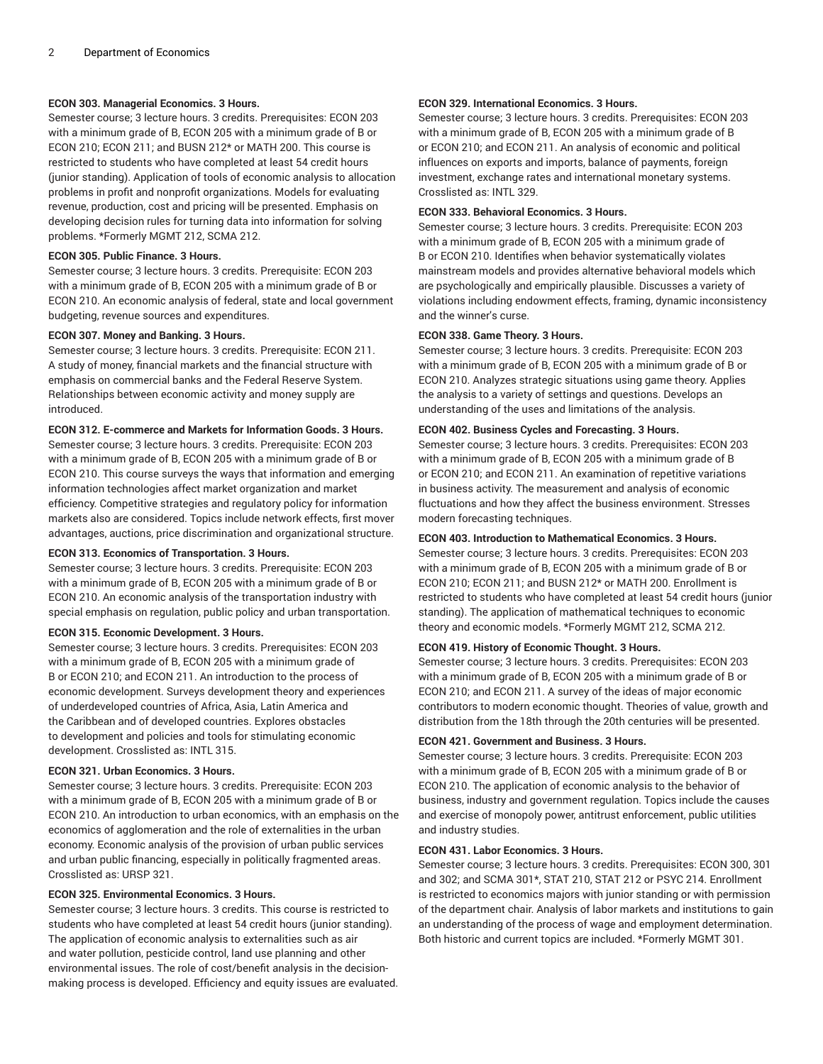## **ECON 303. Managerial Economics. 3 Hours.**

Semester course; 3 lecture hours. 3 credits. Prerequisites: ECON 203 with a minimum grade of B, ECON 205 with a minimum grade of B or ECON 210; ECON 211; and BUSN 212\* or MATH 200. This course is restricted to students who have completed at least 54 credit hours (junior standing). Application of tools of economic analysis to allocation problems in profit and nonprofit organizations. Models for evaluating revenue, production, cost and pricing will be presented. Emphasis on developing decision rules for turning data into information for solving problems. \*Formerly MGMT 212, SCMA 212.

## **ECON 305. Public Finance. 3 Hours.**

Semester course; 3 lecture hours. 3 credits. Prerequisite: ECON 203 with a minimum grade of B, ECON 205 with a minimum grade of B or ECON 210. An economic analysis of federal, state and local government budgeting, revenue sources and expenditures.

## **ECON 307. Money and Banking. 3 Hours.**

Semester course; 3 lecture hours. 3 credits. Prerequisite: ECON 211. A study of money, financial markets and the financial structure with emphasis on commercial banks and the Federal Reserve System. Relationships between economic activity and money supply are introduced.

# **ECON 312. E-commerce and Markets for Information Goods. 3 Hours.**

Semester course; 3 lecture hours. 3 credits. Prerequisite: ECON 203 with a minimum grade of B, ECON 205 with a minimum grade of B or ECON 210. This course surveys the ways that information and emerging information technologies affect market organization and market efficiency. Competitive strategies and regulatory policy for information markets also are considered. Topics include network effects, first mover advantages, auctions, price discrimination and organizational structure.

## **ECON 313. Economics of Transportation. 3 Hours.**

Semester course; 3 lecture hours. 3 credits. Prerequisite: ECON 203 with a minimum grade of B, ECON 205 with a minimum grade of B or ECON 210. An economic analysis of the transportation industry with special emphasis on regulation, public policy and urban transportation.

## **ECON 315. Economic Development. 3 Hours.**

Semester course; 3 lecture hours. 3 credits. Prerequisites: ECON 203 with a minimum grade of B, ECON 205 with a minimum grade of B or ECON 210; and ECON 211. An introduction to the process of economic development. Surveys development theory and experiences of underdeveloped countries of Africa, Asia, Latin America and the Caribbean and of developed countries. Explores obstacles to development and policies and tools for stimulating economic development. Crosslisted as: INTL 315.

## **ECON 321. Urban Economics. 3 Hours.**

Semester course; 3 lecture hours. 3 credits. Prerequisite: ECON 203 with a minimum grade of B, ECON 205 with a minimum grade of B or ECON 210. An introduction to urban economics, with an emphasis on the economics of agglomeration and the role of externalities in the urban economy. Economic analysis of the provision of urban public services and urban public financing, especially in politically fragmented areas. Crosslisted as: URSP 321.

# **ECON 325. Environmental Economics. 3 Hours.**

Semester course; 3 lecture hours. 3 credits. This course is restricted to students who have completed at least 54 credit hours (junior standing). The application of economic analysis to externalities such as air and water pollution, pesticide control, land use planning and other environmental issues. The role of cost/benefit analysis in the decisionmaking process is developed. Efficiency and equity issues are evaluated.

## **ECON 329. International Economics. 3 Hours.**

Semester course; 3 lecture hours. 3 credits. Prerequisites: ECON 203 with a minimum grade of B, ECON 205 with a minimum grade of B or ECON 210; and ECON 211. An analysis of economic and political influences on exports and imports, balance of payments, foreign investment, exchange rates and international monetary systems. Crosslisted as: INTL 329.

## **ECON 333. Behavioral Economics. 3 Hours.**

Semester course; 3 lecture hours. 3 credits. Prerequisite: ECON 203 with a minimum grade of B, ECON 205 with a minimum grade of B or ECON 210. Identifies when behavior systematically violates mainstream models and provides alternative behavioral models which are psychologically and empirically plausible. Discusses a variety of violations including endowment effects, framing, dynamic inconsistency and the winner's curse.

## **ECON 338. Game Theory. 3 Hours.**

Semester course; 3 lecture hours. 3 credits. Prerequisite: ECON 203 with a minimum grade of B, ECON 205 with a minimum grade of B or ECON 210. Analyzes strategic situations using game theory. Applies the analysis to a variety of settings and questions. Develops an understanding of the uses and limitations of the analysis.

## **ECON 402. Business Cycles and Forecasting. 3 Hours.**

Semester course; 3 lecture hours. 3 credits. Prerequisites: ECON 203 with a minimum grade of B, ECON 205 with a minimum grade of B or ECON 210; and ECON 211. An examination of repetitive variations in business activity. The measurement and analysis of economic fluctuations and how they affect the business environment. Stresses modern forecasting techniques.

## **ECON 403. Introduction to Mathematical Economics. 3 Hours.**

Semester course; 3 lecture hours. 3 credits. Prerequisites: ECON 203 with a minimum grade of B, ECON 205 with a minimum grade of B or ECON 210; ECON 211; and BUSN 212\* or MATH 200. Enrollment is restricted to students who have completed at least 54 credit hours (junior standing). The application of mathematical techniques to economic theory and economic models. \*Formerly MGMT 212, SCMA 212.

## **ECON 419. History of Economic Thought. 3 Hours.**

Semester course; 3 lecture hours. 3 credits. Prerequisites: ECON 203 with a minimum grade of B, ECON 205 with a minimum grade of B or ECON 210; and ECON 211. A survey of the ideas of major economic contributors to modern economic thought. Theories of value, growth and distribution from the 18th through the 20th centuries will be presented.

## **ECON 421. Government and Business. 3 Hours.**

Semester course; 3 lecture hours. 3 credits. Prerequisite: ECON 203 with a minimum grade of B, ECON 205 with a minimum grade of B or ECON 210. The application of economic analysis to the behavior of business, industry and government regulation. Topics include the causes and exercise of monopoly power, antitrust enforcement, public utilities and industry studies.

## **ECON 431. Labor Economics. 3 Hours.**

Semester course; 3 lecture hours. 3 credits. Prerequisites: ECON 300, 301 and 302; and SCMA 301\*, STAT 210, STAT 212 or PSYC 214. Enrollment is restricted to economics majors with junior standing or with permission of the department chair. Analysis of labor markets and institutions to gain an understanding of the process of wage and employment determination. Both historic and current topics are included. \*Formerly MGMT 301.